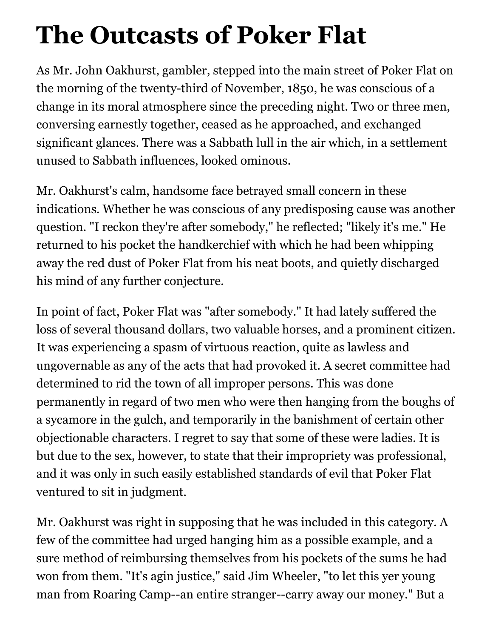## **The Outcasts of Poker Flat**

As Mr. John Oakhurst, gambler, stepped into the main street of Poker Flat on the morning of the twenty-third of November, 1850, he was conscious of a change in its moral atmosphere since the preceding night. Two or three men, conversing earnestly together, ceased as he approached, and exchanged significant glances. There was a Sabbath lull in the air which, in a settlement unused to Sabbath influences, looked ominous.

Mr. Oakhurst's calm, handsome face betrayed small concern in these indications. Whether he was conscious of any predisposing cause was another question. "I reckon they're after somebody," he reflected; "likely it's me." He returned to his pocket the handkerchief with which he had been whipping away the red dust of Poker Flat from his neat boots, and quietly discharged his mind of any further conjecture.

In point of fact, Poker Flat was "after somebody." It had lately suffered the loss of several thousand dollars, two valuable horses, and a prominent citizen. It was experiencing a spasm of virtuous reaction, quite as lawless and ungovernable as any of the acts that had provoked it. A secret committee had determined to rid the town of all improper persons. This was done permanently in regard of two men who were then hanging from the boughs of a sycamore in the gulch, and temporarily in the banishment of certain other objectionable characters. I regret to say that some of these were ladies. It is but due to the sex, however, to state that their impropriety was professional, and it was only in such easily established standards of evil that Poker Flat ventured to sit in judgment.

Mr. Oakhurst was right in supposing that he was included in this category. A few of the committee had urged hanging him as a possible example, and a sure method of reimbursing themselves from his pockets of the sums he had won from them. "It's agin justice," said Jim Wheeler, "to let this yer young man from Roaring Camp--an entire stranger--carry away our money." But a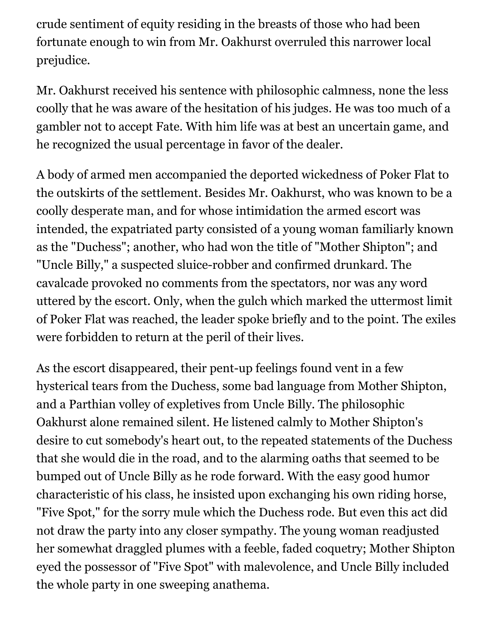crude sentiment of equity residing in the breasts of those who had been fortunate enough to win from Mr. Oakhurst overruled this narrower local prejudice.

Mr. Oakhurst received his sentence with philosophic calmness, none the less coolly that he was aware of the hesitation of his judges. He was too much of a gambler not to accept Fate. With him life was at best an uncertain game, and he recognized the usual percentage in favor of the dealer.

A body of armed men accompanied the deported wickedness of Poker Flat to the outskirts of the settlement. Besides Mr. Oakhurst, who was known to be a coolly desperate man, and for whose intimidation the armed escort was intended, the expatriated party consisted of a young woman familiarly known as the "Duchess"; another, who had won the title of "Mother Shipton"; and "Uncle Billy," a suspected sluice-robber and confirmed drunkard. The cavalcade provoked no comments from the spectators, nor was any word uttered by the escort. Only, when the gulch which marked the uttermost limit of Poker Flat was reached, the leader spoke briefly and to the point. The exiles were forbidden to return at the peril of their lives.

As the escort disappeared, their pent-up feelings found vent in a few hysterical tears from the Duchess, some bad language from Mother Shipton, and a Parthian volley of expletives from Uncle Billy. The philosophic Oakhurst alone remained silent. He listened calmly to Mother Shipton's desire to cut somebody's heart out, to the repeated statements of the Duchess that she would die in the road, and to the alarming oaths that seemed to be bumped out of Uncle Billy as he rode forward. With the easy good humor characteristic of his class, he insisted upon exchanging his own riding horse, "Five Spot," for the sorry mule which the Duchess rode. But even this act did not draw the party into any closer sympathy. The young woman readjusted her somewhat draggled plumes with a feeble, faded coquetry; Mother Shipton eyed the possessor of "Five Spot" with malevolence, and Uncle Billy included the whole party in one sweeping anathema.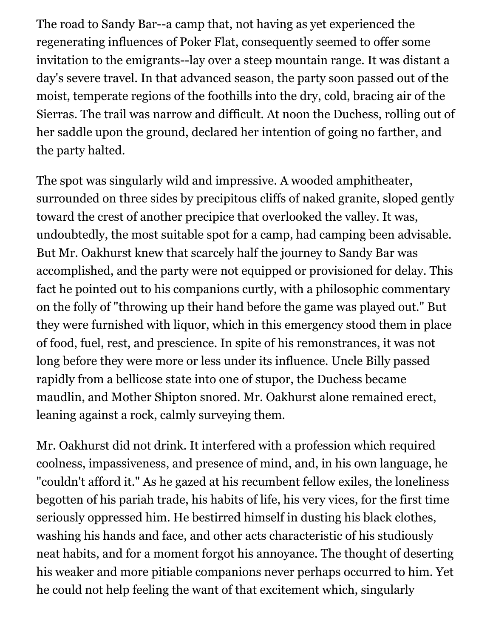The road to Sandy Bar--a camp that, not having as yet experienced the regenerating influences of Poker Flat, consequently seemed to offer some invitation to the emigrants--lay over a steep mountain range. It was distant a day's severe travel. In that advanced season, the party soon passed out of the moist, temperate regions of the foothills into the dry, cold, bracing air of the Sierras. The trail was narrow and difficult. At noon the Duchess, rolling out of her saddle upon the ground, declared her intention of going no farther, and the party halted.

The spot was singularly wild and impressive. A wooded amphitheater, surrounded on three sides by precipitous cliffs of naked granite, sloped gently toward the crest of another precipice that overlooked the valley. It was, undoubtedly, the most suitable spot for a camp, had camping been advisable. But Mr. Oakhurst knew that scarcely half the journey to Sandy Bar was accomplished, and the party were not equipped or provisioned for delay. This fact he pointed out to his companions curtly, with a philosophic commentary on the folly of "throwing up their hand before the game was played out." But they were furnished with liquor, which in this emergency stood them in place of food, fuel, rest, and prescience. In spite of his remonstrances, it was not long before they were more or less under its influence. Uncle Billy passed rapidly from a bellicose state into one of stupor, the Duchess became maudlin, and Mother Shipton snored. Mr. Oakhurst alone remained erect, leaning against a rock, calmly surveying them.

Mr. Oakhurst did not drink. It interfered with a profession which required coolness, impassiveness, and presence of mind, and, in his own language, he "couldn't afford it." As he gazed at his recumbent fellow exiles, the loneliness begotten of his pariah trade, his habits of life, his very vices, for the first time seriously oppressed him. He bestirred himself in dusting his black clothes, washing his hands and face, and other acts characteristic of his studiously neat habits, and for a moment forgot his annoyance. The thought of deserting his weaker and more pitiable companions never perhaps occurred to him. Yet he could not help feeling the want of that excitement which, singularly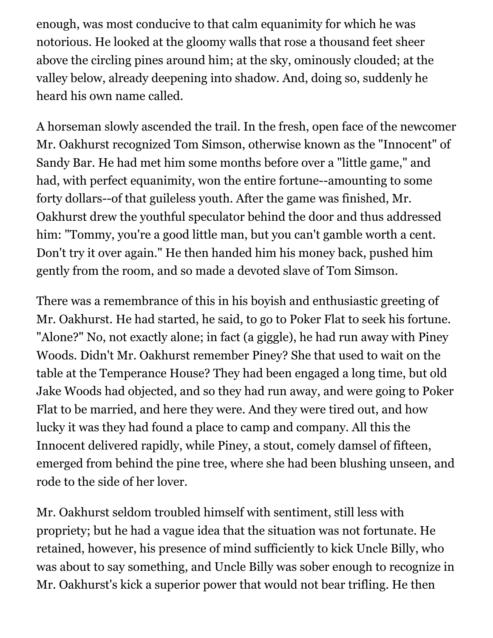enough, was most conducive to that calm equanimity for which he was notorious. He looked at the gloomy walls that rose a thousand feet sheer above the circling pines around him; at the sky, ominously clouded; at the valley below, already deepening into shadow. And, doing so, suddenly he heard his own name called.

A horseman slowly ascended the trail. In the fresh, open face of the newcomer Mr. Oakhurst recognized Tom Simson, otherwise known as the "Innocent" of Sandy Bar. He had met him some months before over a "little game," and had, with perfect equanimity, won the entire fortune--amounting to some forty dollars--of that guileless youth. After the game was finished, Mr. Oakhurst drew the youthful speculator behind the door and thus addressed him: "Tommy, you're a good little man, but you can't gamble worth a cent. Don't try it over again." He then handed him his money back, pushed him gently from the room, and so made a devoted slave of Tom Simson.

There was a remembrance of this in his boyish and enthusiastic greeting of Mr. Oakhurst. He had started, he said, to go to Poker Flat to seek his fortune. "Alone?" No, not exactly alone; in fact (a giggle), he had run away with Piney Woods. Didn't Mr. Oakhurst remember Piney? She that used to wait on the table at the Temperance House? They had been engaged a long time, but old Jake Woods had objected, and so they had run away, and were going to Poker Flat to be married, and here they were. And they were tired out, and how lucky it was they had found a place to camp and company. All this the Innocent delivered rapidly, while Piney, a stout, comely damsel of fifteen, emerged from behind the pine tree, where she had been blushing unseen, and rode to the side of her lover.

Mr. Oakhurst seldom troubled himself with sentiment, still less with propriety; but he had a vague idea that the situation was not fortunate. He retained, however, his presence of mind sufficiently to kick Uncle Billy, who was about to say something, and Uncle Billy was sober enough to recognize in Mr. Oakhurst's kick a superior power that would not bear trifling. He then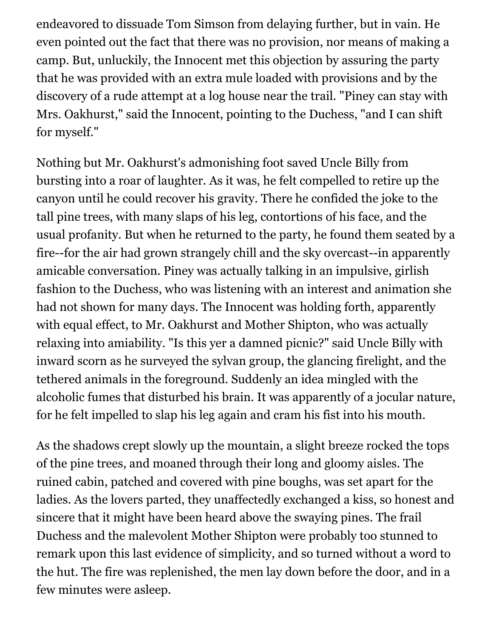endeavored to dissuade Tom Simson from delaying further, but in vain. He even pointed out the fact that there was no provision, nor means of making a camp. But, unluckily, the Innocent met this objection by assuring the party that he was provided with an extra mule loaded with provisions and by the discovery of a rude attempt at a log house near the trail. "Piney can stay with Mrs. Oakhurst," said the Innocent, pointing to the Duchess, "and I can shift for myself."

Nothing but Mr. Oakhurst's admonishing foot saved Uncle Billy from bursting into a roar of laughter. As it was, he felt compelled to retire up the canyon until he could recover his gravity. There he confided the joke to the tall pine trees, with many slaps of his leg, contortions of his face, and the usual profanity. But when he returned to the party, he found them seated by a fire--for the air had grown strangely chill and the sky overcast--in apparently amicable conversation. Piney was actually talking in an impulsive, girlish fashion to the Duchess, who was listening with an interest and animation she had not shown for many days. The Innocent was holding forth, apparently with equal effect, to Mr. Oakhurst and Mother Shipton, who was actually relaxing into amiability. "Is this yer a damned picnic?" said Uncle Billy with inward scorn as he surveyed the sylvan group, the glancing firelight, and the tethered animals in the foreground. Suddenly an idea mingled with the alcoholic fumes that disturbed his brain. It was apparently of a jocular nature, for he felt impelled to slap his leg again and cram his fist into his mouth.

As the shadows crept slowly up the mountain, a slight breeze rocked the tops of the pine trees, and moaned through their long and gloomy aisles. The ruined cabin, patched and covered with pine boughs, was set apart for the ladies. As the lovers parted, they unaffectedly exchanged a kiss, so honest and sincere that it might have been heard above the swaying pines. The frail Duchess and the malevolent Mother Shipton were probably too stunned to remark upon this last evidence of simplicity, and so turned without a word to the hut. The fire was replenished, the men lay down before the door, and in a few minutes were asleep.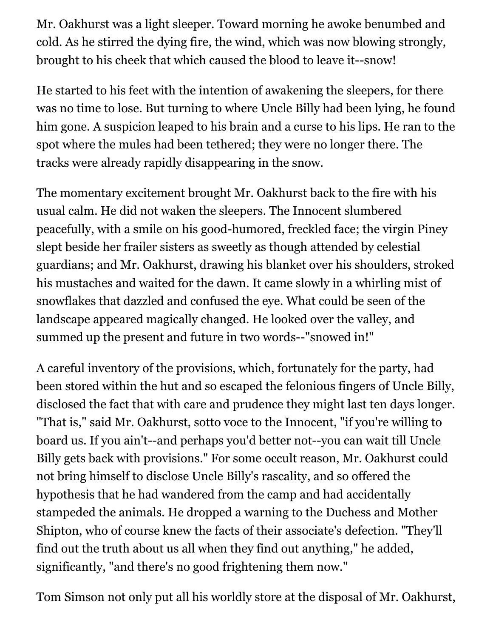Mr. Oakhurst was a light sleeper. Toward morning he awoke benumbed and cold. As he stirred the dying fire, the wind, which was now blowing strongly, brought to his cheek that which caused the blood to leave it--snow!

He started to his feet with the intention of awakening the sleepers, for there was no time to lose. But turning to where Uncle Billy had been lying, he found him gone. A suspicion leaped to his brain and a curse to his lips. He ran to the spot where the mules had been tethered; they were no longer there. The tracks were already rapidly disappearing in the snow.

The momentary excitement brought Mr. Oakhurst back to the fire with his usual calm. He did not waken the sleepers. The Innocent slumbered peacefully, with a smile on his good-humored, freckled face; the virgin Piney slept beside her frailer sisters as sweetly as though attended by celestial guardians; and Mr. Oakhurst, drawing his blanket over his shoulders, stroked his mustaches and waited for the dawn. It came slowly in a whirling mist of snowflakes that dazzled and confused the eye. What could be seen of the landscape appeared magically changed. He looked over the valley, and summed up the present and future in two words--"snowed in!"

A careful inventory of the provisions, which, fortunately for the party, had been stored within the hut and so escaped the felonious fingers of Uncle Billy, disclosed the fact that with care and prudence they might last ten days longer. "That is," said Mr. Oakhurst, sotto voce to the Innocent, "if you're willing to board us. If you ain't--and perhaps you'd better not--you can wait till Uncle Billy gets back with provisions." For some occult reason, Mr. Oakhurst could not bring himself to disclose Uncle Billy's rascality, and so offered the hypothesis that he had wandered from the camp and had accidentally stampeded the animals. He dropped a warning to the Duchess and Mother Shipton, who of course knew the facts of their associate's defection. "They'll find out the truth about us all when they find out anything," he added, significantly, "and there's no good frightening them now."

Tom Simson not only put all his worldly store at the disposal of Mr. Oakhurst,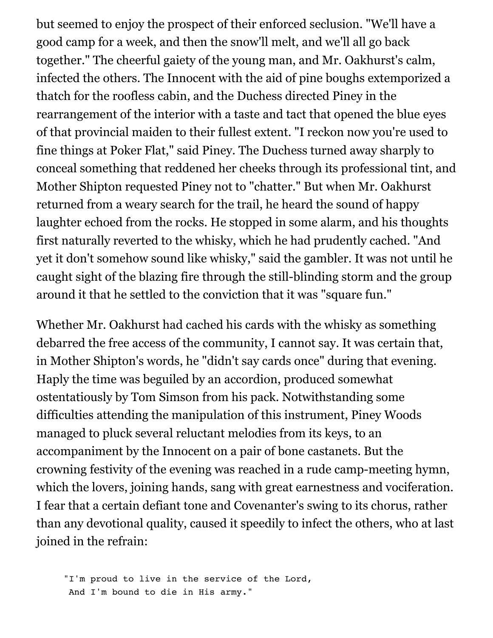but seemed to enjoy the prospect of their enforced seclusion. "We'll have a good camp for a week, and then the snow'll melt, and we'll all go back together." The cheerful gaiety of the young man, and Mr. Oakhurst's calm, infected the others. The Innocent with the aid of pine boughs extemporized a thatch for the roofless cabin, and the Duchess directed Piney in the rearrangement of the interior with a taste and tact that opened the blue eyes of that provincial maiden to their fullest extent. "I reckon now you're used to fine things at Poker Flat," said Piney. The Duchess turned away sharply to conceal something that reddened her cheeks through its professional tint, and Mother Shipton requested Piney not to "chatter." But when Mr. Oakhurst returned from a weary search for the trail, he heard the sound of happy laughter echoed from the rocks. He stopped in some alarm, and his thoughts first naturally reverted to the whisky, which he had prudently cached. "And yet it don't somehow sound like whisky," said the gambler. It was not until he caught sight of the blazing fire through the still-blinding storm and the group around it that he settled to the conviction that it was "square fun."

Whether Mr. Oakhurst had cached his cards with the whisky as something debarred the free access of the community, I cannot say. It was certain that, in Mother Shipton's words, he "didn't say cards once" during that evening. Haply the time was beguiled by an accordion, produced somewhat ostentatiously by Tom Simson from his pack. Notwithstanding some difficulties attending the manipulation of this instrument, Piney Woods managed to pluck several reluctant melodies from its keys, to an accompaniment by the Innocent on a pair of bone castanets. But the crowning festivity of the evening was reached in a rude camp-meeting hymn, which the lovers, joining hands, sang with great earnestness and vociferation. I fear that a certain defiant tone and Covenanter's swing to its chorus, rather than any devotional quality, caused it speedily to infect the others, who at last joined in the refrain:

 "I'm proud to live in the service of the Lord, And I'm bound to die in His army."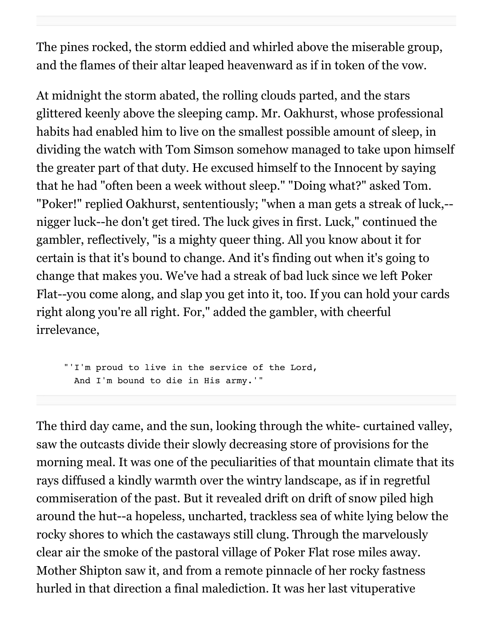The pines rocked, the storm eddied and whirled above the miserable group, and the flames of their altar leaped heavenward as if in token of the vow.

At midnight the storm abated, the rolling clouds parted, and the stars glittered keenly above the sleeping camp. Mr. Oakhurst, whose professional habits had enabled him to live on the smallest possible amount of sleep, in dividing the watch with Tom Simson somehow managed to take upon himself the greater part of that duty. He excused himself to the Innocent by saying that he had "often been a week without sleep." "Doing what?" asked Tom. "Poker!" replied Oakhurst, sententiously; "when a man gets a streak of luck,- nigger luck--he don't get tired. The luck gives in first. Luck," continued the gambler, reflectively, "is a mighty queer thing. All you know about it for certain is that it's bound to change. And it's finding out when it's going to change that makes you. We've had a streak of bad luck since we left Poker Flat--you come along, and slap you get into it, too. If you can hold your cards right along you're all right. For," added the gambler, with cheerful irrelevance,

 "'I'm proud to live in the service of the Lord, And I'm bound to die in His army.'"

The third day came, and the sun, looking through the white- curtained valley, saw the outcasts divide their slowly decreasing store of provisions for the morning meal. It was one of the peculiarities of that mountain climate that its rays diffused a kindly warmth over the wintry landscape, as if in regretful commiseration of the past. But it revealed drift on drift of snow piled high around the hut--a hopeless, uncharted, trackless sea of white lying below the rocky shores to which the castaways still clung. Through the marvelously clear air the smoke of the pastoral village of Poker Flat rose miles away. Mother Shipton saw it, and from a remote pinnacle of her rocky fastness hurled in that direction a final malediction. It was her last vituperative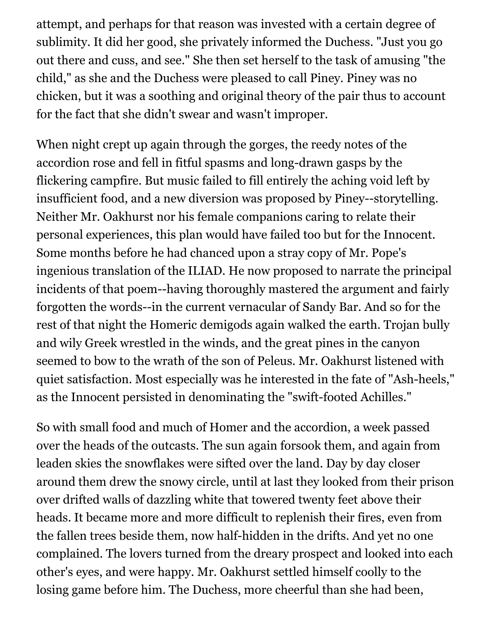attempt, and perhaps for that reason was invested with a certain degree of sublimity. It did her good, she privately informed the Duchess. "Just you go out there and cuss, and see." She then set herself to the task of amusing "the child," as she and the Duchess were pleased to call Piney. Piney was no chicken, but it was a soothing and original theory of the pair thus to account for the fact that she didn't swear and wasn't improper.

When night crept up again through the gorges, the reedy notes of the accordion rose and fell in fitful spasms and long-drawn gasps by the flickering campfire. But music failed to fill entirely the aching void left by insufficient food, and a new diversion was proposed by Piney--storytelling. Neither Mr. Oakhurst nor his female companions caring to relate their personal experiences, this plan would have failed too but for the Innocent. Some months before he had chanced upon a stray copy of Mr. Pope's ingenious translation of the ILIAD. He now proposed to narrate the principal incidents of that poem--having thoroughly mastered the argument and fairly forgotten the words--in the current vernacular of Sandy Bar. And so for the rest of that night the Homeric demigods again walked the earth. Trojan bully and wily Greek wrestled in the winds, and the great pines in the canyon seemed to bow to the wrath of the son of Peleus. Mr. Oakhurst listened with quiet satisfaction. Most especially was he interested in the fate of "Ash-heels," as the Innocent persisted in denominating the "swift-footed Achilles."

So with small food and much of Homer and the accordion, a week passed over the heads of the outcasts. The sun again forsook them, and again from leaden skies the snowflakes were sifted over the land. Day by day closer around them drew the snowy circle, until at last they looked from their prison over drifted walls of dazzling white that towered twenty feet above their heads. It became more and more difficult to replenish their fires, even from the fallen trees beside them, now half-hidden in the drifts. And yet no one complained. The lovers turned from the dreary prospect and looked into each other's eyes, and were happy. Mr. Oakhurst settled himself coolly to the losing game before him. The Duchess, more cheerful than she had been,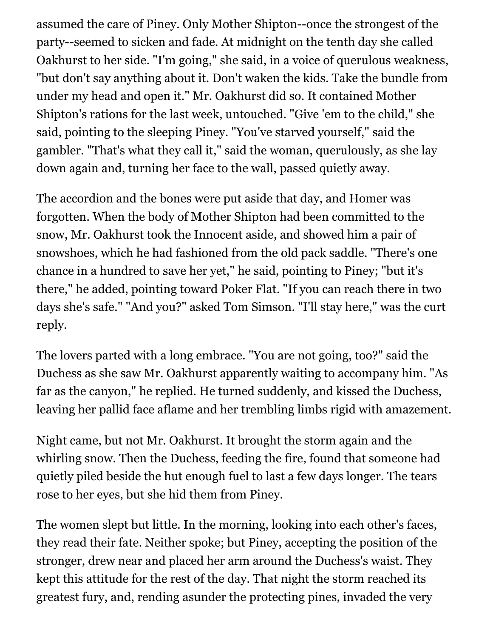assumed the care of Piney. Only Mother Shipton--once the strongest of the party--seemed to sicken and fade. At midnight on the tenth day she called Oakhurst to her side. "I'm going," she said, in a voice of querulous weakness, "but don't say anything about it. Don't waken the kids. Take the bundle from under my head and open it." Mr. Oakhurst did so. It contained Mother Shipton's rations for the last week, untouched. "Give 'em to the child," she said, pointing to the sleeping Piney. "You've starved yourself," said the gambler. "That's what they call it," said the woman, querulously, as she lay down again and, turning her face to the wall, passed quietly away.

The accordion and the bones were put aside that day, and Homer was forgotten. When the body of Mother Shipton had been committed to the snow, Mr. Oakhurst took the Innocent aside, and showed him a pair of snowshoes, which he had fashioned from the old pack saddle. "There's one chance in a hundred to save her yet," he said, pointing to Piney; "but it's there," he added, pointing toward Poker Flat. "If you can reach there in two days she's safe." "And you?" asked Tom Simson. "I'll stay here," was the curt reply.

The lovers parted with a long embrace. "You are not going, too?" said the Duchess as she saw Mr. Oakhurst apparently waiting to accompany him. "As far as the canyon," he replied. He turned suddenly, and kissed the Duchess, leaving her pallid face aflame and her trembling limbs rigid with amazement.

Night came, but not Mr. Oakhurst. It brought the storm again and the whirling snow. Then the Duchess, feeding the fire, found that someone had quietly piled beside the hut enough fuel to last a few days longer. The tears rose to her eyes, but she hid them from Piney.

The women slept but little. In the morning, looking into each other's faces, they read their fate. Neither spoke; but Piney, accepting the position of the stronger, drew near and placed her arm around the Duchess's waist. They kept this attitude for the rest of the day. That night the storm reached its greatest fury, and, rending asunder the protecting pines, invaded the very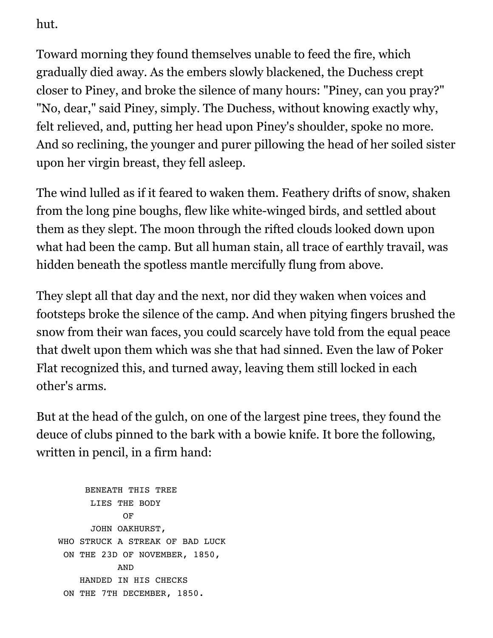hut.

Toward morning they found themselves unable to feed the fire, which gradually died away. As the embers slowly blackened, the Duchess crept closer to Piney, and broke the silence of many hours: "Piney, can you pray?" "No, dear," said Piney, simply. The Duchess, without knowing exactly why, felt relieved, and, putting her head upon Piney's shoulder, spoke no more. And so reclining, the younger and purer pillowing the head of her soiled sister upon her virgin breast, they fell asleep.

The wind lulled as if it feared to waken them. Feathery drifts of snow, shaken from the long pine boughs, flew like white-winged birds, and settled about them as they slept. The moon through the rifted clouds looked down upon what had been the camp. But all human stain, all trace of earthly travail, was hidden beneath the spotless mantle mercifully flung from above.

They slept all that day and the next, nor did they waken when voices and footsteps broke the silence of the camp. And when pitying fingers brushed the snow from their wan faces, you could scarcely have told from the equal peace that dwelt upon them which was she that had sinned. Even the law of Poker Flat recognized this, and turned away, leaving them still locked in each other's arms.

But at the head of the gulch, on one of the largest pine trees, they found the deuce of clubs pinned to the bark with a bowie knife. It bore the following, written in pencil, in a firm hand:

```
 BENEATH THIS TREE
                LIES THE BODY
OF STREET STREET AND THE STREET STREET STREET AND THE STREET STREET STREET AND THE STREET STREET STREET AND IN
                JOHN OAKHURST,
       WHO STRUCK A STREAK OF BAD LUCK
        ON THE 23D OF NOVEMBER, 1850,
                        AND
             HANDED IN HIS CHECKS
        ON THE 7TH DECEMBER, 1850.
```